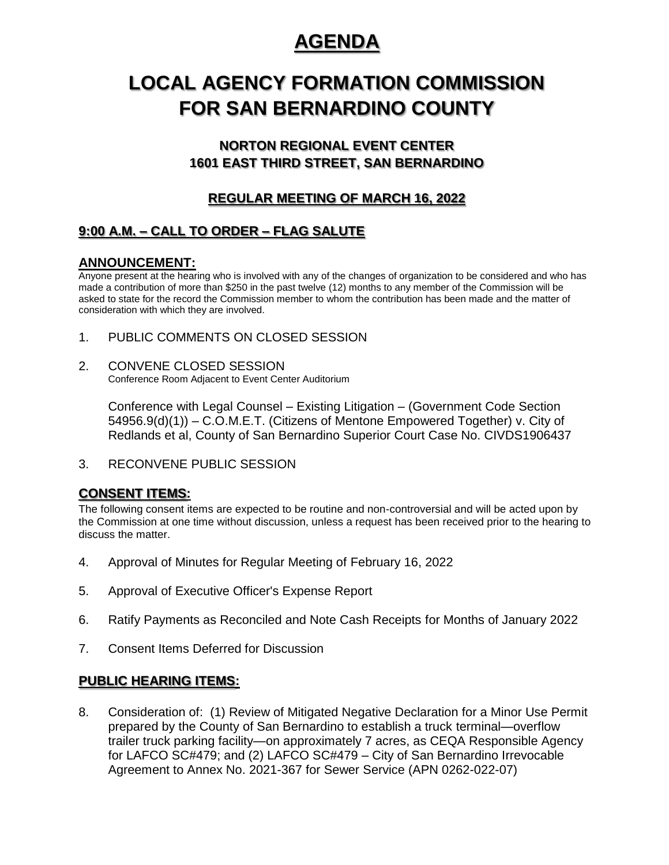## **AGENDA**

# **LOCAL AGENCY FORMATION COMMISSION FOR SAN BERNARDINO COUNTY**

## **NORTON REGIONAL EVENT CENTER 1601 EAST THIRD STREET, SAN BERNARDINO**

## **REGULAR MEETING OF MARCH 16, 2022**

## **9:00 A.M. – CALL TO ORDER – FLAG SALUTE**

#### **ANNOUNCEMENT:**

Anyone present at the hearing who is involved with any of the changes of organization to be considered and who has made a contribution of more than \$250 in the past twelve (12) months to any member of the Commission will be asked to state for the record the Commission member to whom the contribution has been made and the matter of consideration with which they are involved.

- 1. PUBLIC COMMENTS ON CLOSED SESSION
- 2. CONVENE CLOSED SESSION Conference Room Adjacent to Event Center Auditorium

Conference with Legal Counsel – Existing Litigation – (Government Code Section 54956.9(d)(1)) – C.O.M.E.T. (Citizens of Mentone Empowered Together) v. City of Redlands et al, County of San Bernardino Superior Court Case No. CIVDS1906437

3. RECONVENE PUBLIC SESSION

### **CONSENT ITEMS:**

The following consent items are expected to be routine and non-controversial and will be acted upon by the Commission at one time without discussion, unless a request has been received prior to the hearing to discuss the matter.

- 4. Approval of Minutes for Regular Meeting of February 16, 2022
- 5. Approval of Executive Officer's Expense Report
- 6. Ratify Payments as Reconciled and Note Cash Receipts for Months of January 2022
- 7. Consent Items Deferred for Discussion

#### **PUBLIC HEARING ITEMS:**

8. Consideration of: (1) Review of Mitigated Negative Declaration for a Minor Use Permit prepared by the County of San Bernardino to establish a truck terminal—overflow trailer truck parking facility—on approximately 7 acres, as CEQA Responsible Agency for LAFCO SC#479; and (2) LAFCO SC#479 – City of San Bernardino Irrevocable Agreement to Annex No. 2021-367 for Sewer Service (APN 0262-022-07)